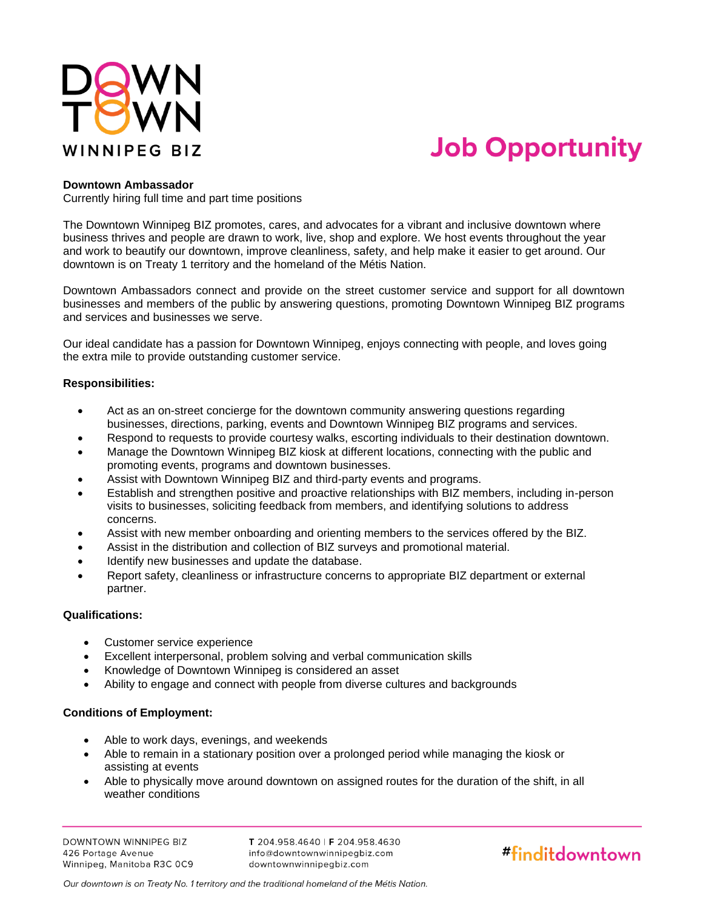

# **Job Opportunity**

## **Downtown Ambassador**

Currently hiring full time and part time positions

The Downtown Winnipeg BIZ promotes, cares, and advocates for a vibrant and inclusive downtown where business thrives and people are drawn to work, live, shop and explore. We host events throughout the year and work to beautify our downtown, improve cleanliness, safety, and help make it easier to get around. Our downtown is on Treaty 1 territory and the homeland of the Métis Nation.

Downtown Ambassadors connect and provide on the street customer service and support for all downtown businesses and members of the public by answering questions, promoting Downtown Winnipeg BIZ programs and services and businesses we serve.

Our ideal candidate has a passion for Downtown Winnipeg, enjoys connecting with people, and loves going the extra mile to provide outstanding customer service.

### **Responsibilities:**

- Act as an on-street concierge for the downtown community answering questions regarding businesses, directions, parking, events and Downtown Winnipeg BIZ programs and services.
- Respond to requests to provide courtesy walks, escorting individuals to their destination downtown.
- Manage the Downtown Winnipeg BIZ kiosk at different locations, connecting with the public and promoting events, programs and downtown businesses.
- Assist with Downtown Winnipeg BIZ and third-party events and programs.
- Establish and strengthen positive and proactive relationships with BIZ members, including in-person visits to businesses, soliciting feedback from members, and identifying solutions to address concerns.
- Assist with new member onboarding and orienting members to the services offered by the BIZ.
- Assist in the distribution and collection of BIZ surveys and promotional material.
- Identify new businesses and update the database.
- Report safety, cleanliness or infrastructure concerns to appropriate BIZ department or external partner.

## **Qualifications:**

- Customer service experience
- Excellent interpersonal, problem solving and verbal communication skills
- Knowledge of Downtown Winnipeg is considered an asset
- Ability to engage and connect with people from diverse cultures and backgrounds

## **Conditions of Employment:**

- Able to work days, evenings, and weekends
- Able to remain in a stationary position over a prolonged period while managing the kiosk or assisting at events
- Able to physically move around downtown on assigned routes for the duration of the shift, in all weather conditions

DOWNTOWN WINNIPEG BIZ 426 Portage Avenue Winnipeg, Manitoba R3C 0C9

T 204.958.4640 | F 204.958.4630 info@downtownwinnipegbiz.com downtownwinnipegbiz.com



Our downtown is on Treaty No. 1 territory and the traditional homeland of the Métis Nation.